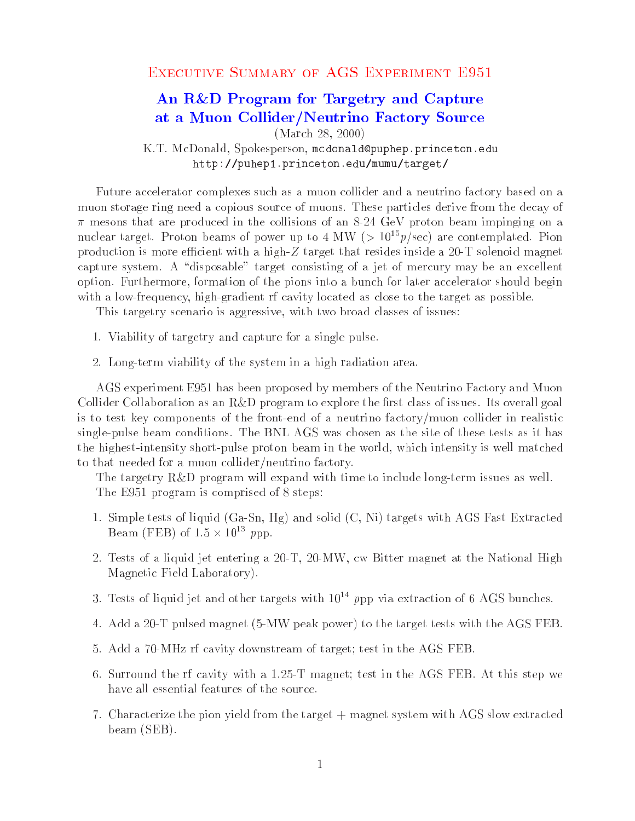## An R&D Program for Targetry and Capture at a Muon Collider/Neutrino Factory Source

(March 28, 2000)

K.T. McDonald, Spokesperson, mcdonald@puphep.princeton.edu http://puhep1.princeton.edu/mumu/target/

Future accelerator complexes such as a muon collider and a neutrino factory based on a muon storage ring need a copious source of muons. These particles derive from the decay of  $\pi$  mesons that are produced in the collisions of an 8-24 GeV proton beam impinging on a nuclear target. Proton beams of power up to 4 MW ( $> 10^{15}p/sec$ ) are contemplated. Pion production is more efficient with a high- $Z$  target that resides inside a 20-T solenoid magnet capture system. A "disposable" target consisting of a jet of mercury may be an excellent option. Furthermore, formation of the pions into a bunch for later accelerator should begin with a low-frequency, high-gradient rf cavity located as close to the target as possible.

This targetry scenario is aggressive, with two broad classes of issues:

- 1. Viability of targetry and capture for a single pulse.
- 2. Long-term viability of the system in a high radiation area.

AGS experiment E951 has been proposed by members of the Neutrino Factory and Muon Collider Collaboration as an R&D program to explore the first class of issues. Its overall goal is to test key components of the front-end of a neutrino factory/muon collider in realistic single-pulse beam conditions. The BNL AGS was chosen as the site of these tests as it has the highest-intensity short-pulse proton beam in the world, which intensity is well matched to that needed for a muon collider/neutrino factory.

The targetry R&D program will expand with time to include long-term issues as well. The E951 program is comprised of 8 steps:

- 1. Simple tests of liquid (Ga-Sn, Hg) and solid (C, Ni) targets with AGS Fast Extracted Beam ( $\texttt{FEB}$ ) of  $1.5 \times 10^{-3}$  ppp.
- 2. Tests of a liquid jet entering a 20-T, 20-MW, cw Bitter magnet at the National High Magnetic Field Laboratory).
- 3. Tests of liquid jet and other targets with  $10^{14}$  ppp via extraction of 6 AGS bunches.
- 4. Add a 20-T pulsed magnet (5-MW peak power) to the target tests with the AGS FEB.
- 5. Add a 70-MHz rf cavity downstream of target; test in the AGS FEB.
- 6. Surround the rf cavity with a 1.25-T magnet; test in the AGS FEB. At this step we have all essential features of the source.
- 7. Characterize the pion yield from the target + magnet system with AGS slow extracted beam (SEB).